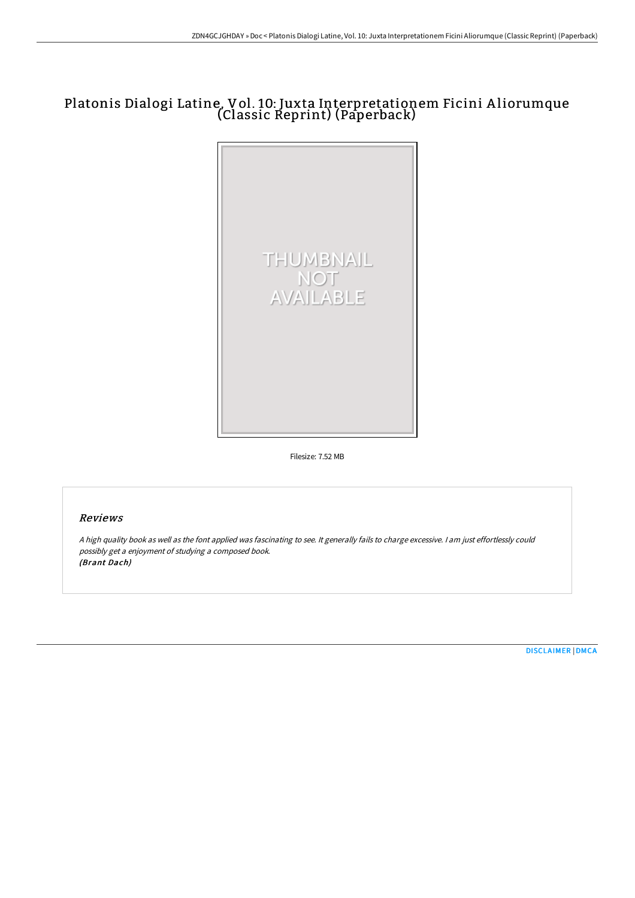# Platonis Dialogi Latine, Vol. 10: Juxta Interpretationem Ficini A liorumque (Classic Reprint) (Paperback)



Filesize: 7.52 MB

## Reviews

<sup>A</sup> high quality book as well as the font applied was fascinating to see. It generally fails to charge excessive. <sup>I</sup> am just effortlessly could possibly get <sup>a</sup> enjoyment of studying <sup>a</sup> composed book. (Brant Dach)

[DISCLAIMER](http://techno-pub.tech/disclaimer.html) | [DMCA](http://techno-pub.tech/dmca.html)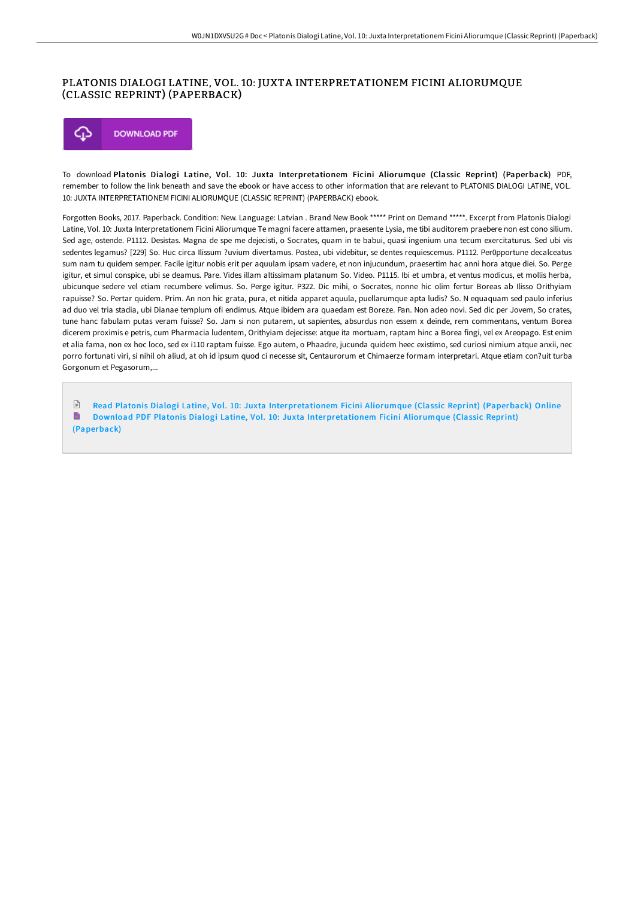### PLATONIS DIALOGI LATINE, VOL. 10: JUXTA INTERPRETATIONEM FICINI ALIORUMQUE (CLASSIC REPRINT) (PAPERBACK)



To download Platonis Dialogi Latine, Vol. 10: Juxta Interpretationem Ficini Aliorumque (Classic Reprint) (Paperback) PDF, remember to follow the link beneath and save the ebook or have access to other information that are relevant to PLATONIS DIALOGI LATINE, VOL. 10: JUXTA INTERPRETATIONEM FICINI ALIORUMQUE (CLASSIC REPRINT) (PAPERBACK) ebook.

Forgotten Books, 2017. Paperback. Condition: New. Language: Latvian . Brand New Book \*\*\*\*\* Print on Demand \*\*\*\*\*. Excerpt from Platonis Dialogi Latine, Vol. 10: Juxta Interpretationem Ficini Aliorumque Te magni facere attamen, praesente Lysia, me tibi auditorem praebere non est cono silium. Sed age, ostende. P1112. Desistas. Magna de spe me dejecisti, o Socrates, quam in te babui, quasi ingenium una tecum exercitaturus. Sed ubi vis sedentes legamus? [229] So. Huc circa Ilissum ?uvium divertamus. Postea, ubi videbitur, se dentes requiescemus. P1112. Per0pportune decalceatus sum nam tu quidem semper. Facile igitur nobis erit per aquulam ipsam vadere, et non injucundum, praesertim hac anni hora atque diei. So. Perge igitur, et simul conspice, ubi se deamus. Pare. Vides illam altissimam platanum So. Video. P1115. Ibi et umbra, et ventus modicus, et mollis herba, ubicunque sedere vel etiam recumbere velimus. So. Perge igitur. P322. Dic mihi, o Socrates, nonne hic olim fertur Boreas ab Ilisso Orithyiam rapuisse? So. Pertar quidem. Prim. An non hic grata, pura, et nitida apparet aquula, puellarumque apta ludis? So. N equaquam sed paulo inferius ad duo vel tria stadia, ubi Dianae templum ofi endimus. Atque ibidem ara quaedam est Boreze. Pan. Non adeo novi. Sed dic per Jovem, So crates, tune hanc fabulam putas veram fuisse? So. Jam si non putarem, ut sapientes, absurdus non essem x deinde, rem commentans, ventum Borea dicerem proximis e petris, cum Pharmacia ludentem, Orithyiam dejecisse: atque ita mortuam, raptam hinc a Borea fingi, vel ex Areopago. Est enim et alia fama, non ex hoc loco, sed ex i110 raptam fuisse. Ego autem, o Phaadre, jucunda quidem heec existimo, sed curiosi nimium atque anxii, nec porro fortunati viri, si nihil oh aliud, at oh id ipsum quod ci necesse sit, Centaurorum et Chimaerze formam interpretari. Atque etiam con?uit turba Gorgonum et Pegasorum,...

 $\sqrt{2}$ Read Platonis Dialogi Latine, Vol. 10: Juxta [Interpretationem](http://techno-pub.tech/platonis-dialogi-latine-vol-10-juxta-interpretat.html) Ficini Aliorumque (Classic Reprint) (Paperback) Online B Download PDF Platonis Dialogi Latine, Vol. 10: Juxta [Interpretationem](http://techno-pub.tech/platonis-dialogi-latine-vol-10-juxta-interpretat.html) Ficini Aliorumque (Classic Reprint) (Paperback)